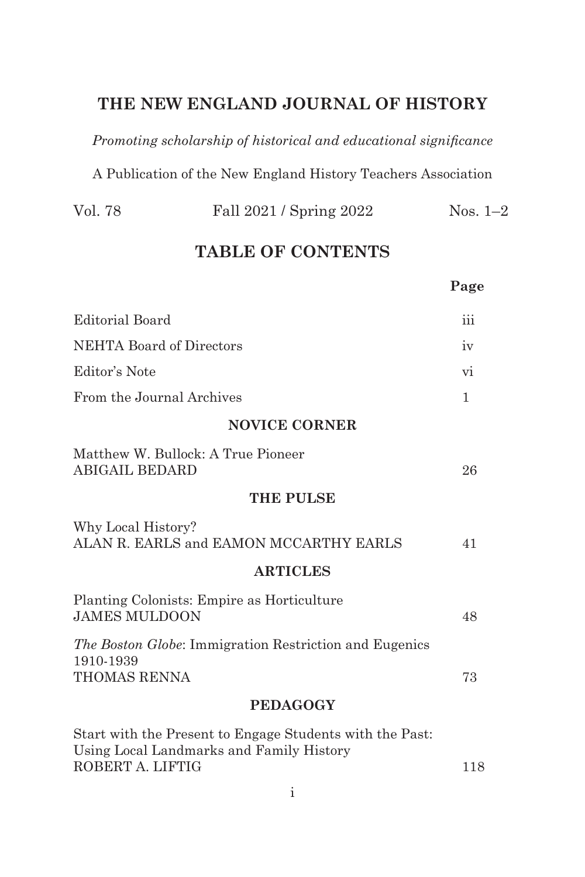## **THE NEW ENGLAND JOURNAL OF HISTORY**

*Promoting scholarship of historical and educational significance*

A Publication of the New England History Teachers Association

| Vol. 78 | Fall 2021 / Spring 2022 | Nos. $1-2$ |
|---------|-------------------------|------------|
|---------|-------------------------|------------|

## **TABLE OF CONTENTS**

|                                                                                                                                                              | Page                               |
|--------------------------------------------------------------------------------------------------------------------------------------------------------------|------------------------------------|
| Editorial Board                                                                                                                                              | iii                                |
| NEHTA Board of Directors                                                                                                                                     |                                    |
| Editor's Note                                                                                                                                                | vi                                 |
| From the Journal Archives                                                                                                                                    |                                    |
| <b>NOVICE CORNER</b>                                                                                                                                         |                                    |
| Matthew W. Bullock: A True Pioneer<br><b>ABIGAIL BEDARD</b>                                                                                                  | 26                                 |
| <b>THE PULSE</b>                                                                                                                                             |                                    |
| Why Local History?<br>ALAN R. EARLS and EAMON MCCARTHY EARLS                                                                                                 | 41                                 |
| <b>ARTICLES</b>                                                                                                                                              |                                    |
| Planting Colonists: Empire as Horticulture<br><b>JAMES MULDOON</b>                                                                                           |                                    |
| The Boston Globe: Immigration Restriction and Eugenics<br>1910-1939<br>THOMAS RENNA                                                                          | 73                                 |
| <b>PEDAGOGY</b>                                                                                                                                              |                                    |
| Start with the Present to Engage Students with the Past:<br>Using Local Landmarks and Family History<br>$D\cap D\cap D\cap R$ $\vdash$ $I\cap D\cap D\cap R$ | $\rightarrow$ $\rightarrow$ $\sim$ |

ROBERT A. LIFTIG 118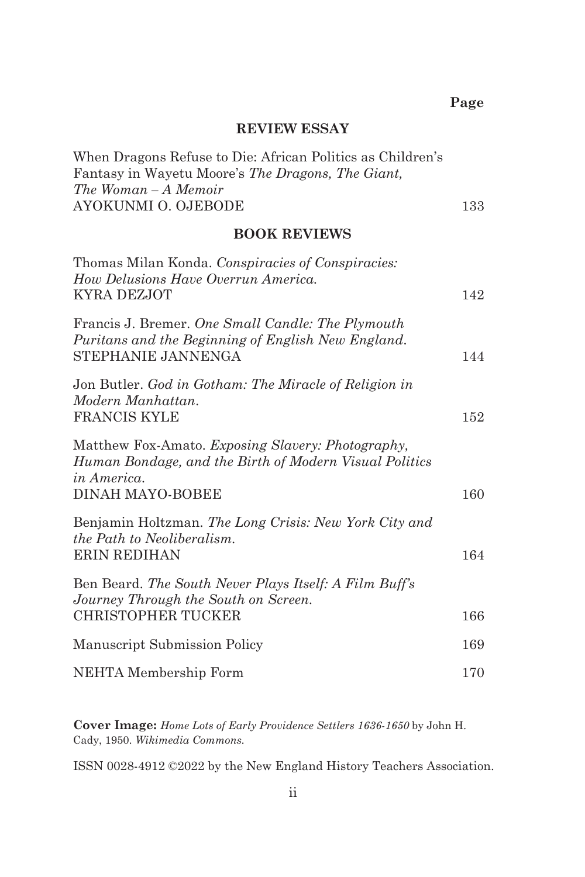#### **REVIEW ESSAY**

| When Dragons Refuse to Die: African Politics as Children's |     |
|------------------------------------------------------------|-----|
| Fantasy in Wayetu Moore's The Dragons, The Giant,          |     |
| The Woman – A Memoir                                       |     |
| AYOKUNMI O. OJEBODE                                        | 133 |

#### **BOOK REVIEWS**

| Thomas Milan Konda. Conspiracies of Conspiracies:<br>How Delusions Have Overrun America.                                                              |     |
|-------------------------------------------------------------------------------------------------------------------------------------------------------|-----|
| KYRA DEZJOT                                                                                                                                           | 142 |
| Francis J. Bremer. One Small Candle: The Plymouth<br>Puritans and the Beginning of English New England.<br>STEPHANIE JANNENGA                         | 144 |
| Jon Butler. God in Gotham: The Miracle of Religion in<br>Modern Manhattan.<br>FRANCIS KYLE                                                            | 152 |
| Matthew Fox-Amato. Exposing Slavery: Photography,<br>Human Bondage, and the Birth of Modern Visual Politics<br><i>in America.</i><br>DINAH MAYO-BOBEE | 160 |
| Benjamin Holtzman. The Long Crisis: New York City and<br>the Path to Neoliberalism.<br><b>ERIN REDIHAN</b>                                            | 164 |
| Ben Beard. The South Never Plays Itself: A Film Buff's<br>Journey Through the South on Screen.<br><b>CHRISTOPHER TUCKER</b>                           | 166 |
| Manuscript Submission Policy                                                                                                                          | 169 |
| NEHTA Membership Form                                                                                                                                 | 170 |
|                                                                                                                                                       |     |

**Cover Image:** *Home Lots of Early Providence Settlers 1636-1650* by John H. Cady, 1950. *Wikimedia Commons.*

ISSN 0028-4912 ©2022 by the New England History Teachers Association.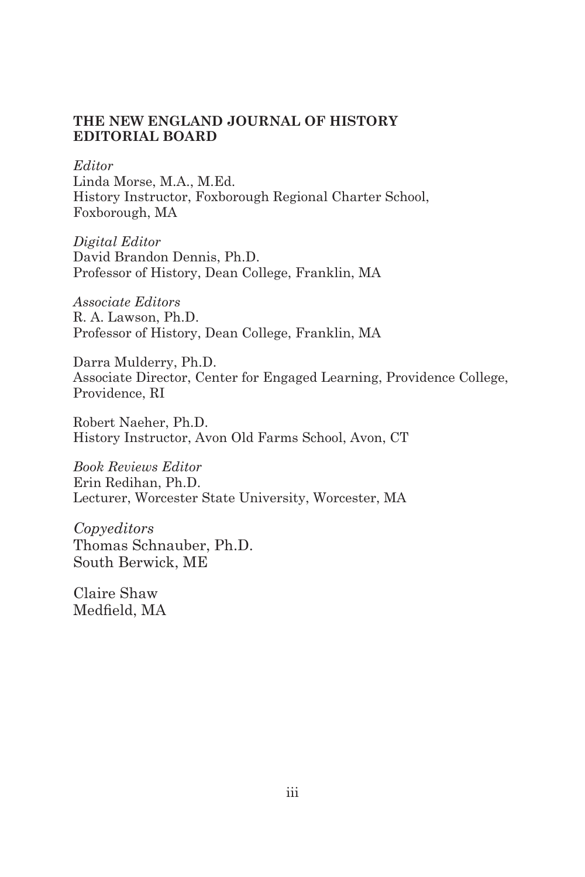#### **THE NEW ENGLAND JOURNAL OF HISTORY EDITORIAL BOARD**

*Editor*

Linda Morse, M.A., M.Ed. History Instructor, Foxborough Regional Charter School, Foxborough, MA

*Digital Editor* David Brandon Dennis, Ph.D. Professor of History, Dean College, Franklin, MA

*Associate Editors* R. A. Lawson, Ph.D. Professor of History, Dean College, Franklin, MA

Darra Mulderry, Ph.D. Associate Director, Center for Engaged Learning, Providence College, Providence, RI

Robert Naeher, Ph.D. History Instructor, Avon Old Farms School, Avon, CT

*Book Reviews Editor* Erin Redihan, Ph.D. Lecturer, Worcester State University, Worcester, MA

*Copyeditors*  Thomas Schnauber, Ph.D. South Berwick, ME

Claire Shaw Medfield, MA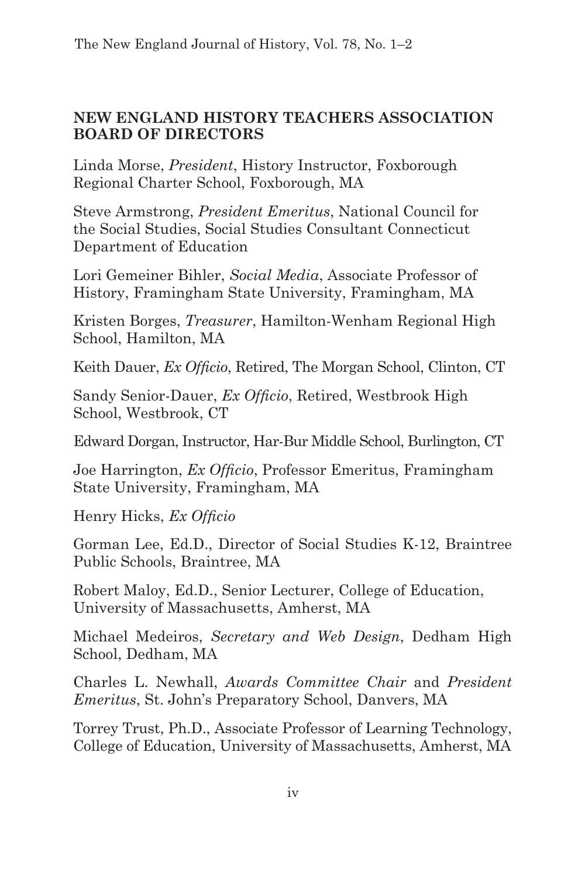### **NEW ENGLAND HISTORY TEACHERS ASSOCIATION BOARD OF DIRECTORS**

Linda Morse, *President*, History Instructor, Foxborough Regional Charter School, Foxborough, MA

Steve Armstrong, *President Emeritus*, National Council for the Social Studies, Social Studies Consultant Connecticut Department of Education

Lori Gemeiner Bihler, *Social Media*, Associate Professor of History, Framingham State University, Framingham, MA

Kristen Borges, *Treasurer*, Hamilton-Wenham Regional High School, Hamilton, MA

Keith Dauer, *Ex Officio*, Retired, The Morgan School, Clinton, CT

Sandy Senior-Dauer, *Ex Officio*, Retired, Westbrook High School, Westbrook, CT

Edward Dorgan, Instructor, Har-Bur Middle School, Burlington, CT

Joe Harrington, *Ex Officio*, Professor Emeritus, Framingham State University, Framingham, MA

Henry Hicks, *Ex Officio*

Gorman Lee, Ed.D., Director of Social Studies K-12, Braintree Public Schools, Braintree, MA

Robert Maloy, Ed.D., Senior Lecturer, College of Education, University of Massachusetts, Amherst, MA

Michael Medeiros, *Secretary and Web Design*, Dedham High School, Dedham, MA

Charles L. Newhall, *Awards Committee Chair* and *President Emeritus*, St. John's Preparatory School, Danvers, MA

Torrey Trust, Ph.D., Associate Professor of Learning Technology, College of Education, University of Massachusetts, Amherst, MA